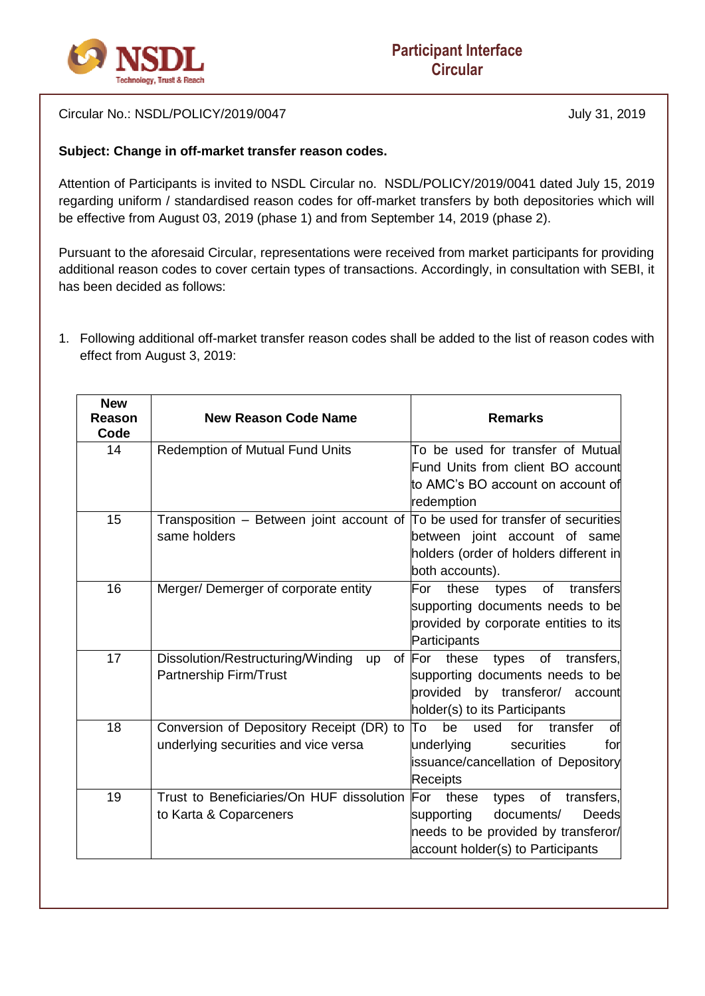

Circular No.: NSDL/POLICY/2019/0047 July 31, 2019

## **Subject: Change in off-market transfer reason codes.**

Attention of Participants is invited to NSDL Circular no. NSDL/POLICY/2019/0041 dated July 15, 2019 regarding uniform / standardised reason codes for off-market transfers by both depositories which will be effective from August 03, 2019 (phase 1) and from September 14, 2019 (phase 2).

Pursuant to the aforesaid Circular, representations were received from market participants for providing additional reason codes to cover certain types of transactions. Accordingly, in consultation with SEBI, it has been decided as follows:

1. Following additional off-market transfer reason codes shall be added to the list of reason codes with effect from August 3, 2019:

| <b>New</b><br>Reason<br>Code | <b>New Reason Code Name</b>                                                    | <b>Remarks</b>                               |
|------------------------------|--------------------------------------------------------------------------------|----------------------------------------------|
| 14                           | Redemption of Mutual Fund Units                                                | To be used for transfer of Mutual            |
|                              |                                                                                | Fund Units from client BO account            |
|                              |                                                                                | to AMC's BO account on account of            |
|                              |                                                                                | redemption                                   |
| 15                           | Transposition - Between joint account of To be used for transfer of securities |                                              |
|                              | same holders                                                                   | between joint account of same                |
|                              |                                                                                | holders (order of holders different in       |
|                              |                                                                                | both accounts).                              |
| 16                           | Merger/Demerger of corporate entity                                            | these<br>of<br>transfers<br>For<br>types     |
|                              |                                                                                | supporting documents needs to be             |
|                              |                                                                                | provided by corporate entities to its        |
|                              |                                                                                | Participants                                 |
| 17                           | Dissolution/Restructuring/Winding<br><b>up</b>                                 | of For<br>these<br>of<br>transfers,<br>types |
|                              | Partnership Firm/Trust                                                         | supporting documents needs to be             |
|                              |                                                                                | provided by transferor/ account              |
|                              |                                                                                | holder(s) to its Participants                |
| 18                           | Conversion of Depository Receipt (DR) to                                       | lΤo<br>for<br>transfer<br>be<br>used<br>οf   |
|                              | underlying securities and vice versa                                           | underlying<br>securities<br>for              |
|                              |                                                                                | issuance/cancellation of Depository          |
|                              |                                                                                | <b>Receipts</b>                              |
| 19                           | Trust to Beneficiaries/On HUF dissolution                                      | For<br>of<br>transfers,<br>these<br>types    |
|                              | to Karta & Coparceners                                                         | <b>Deeds</b><br>documents/<br>supporting     |
|                              |                                                                                | heeds to be provided by transferor/          |
|                              |                                                                                | account holder(s) to Participants            |